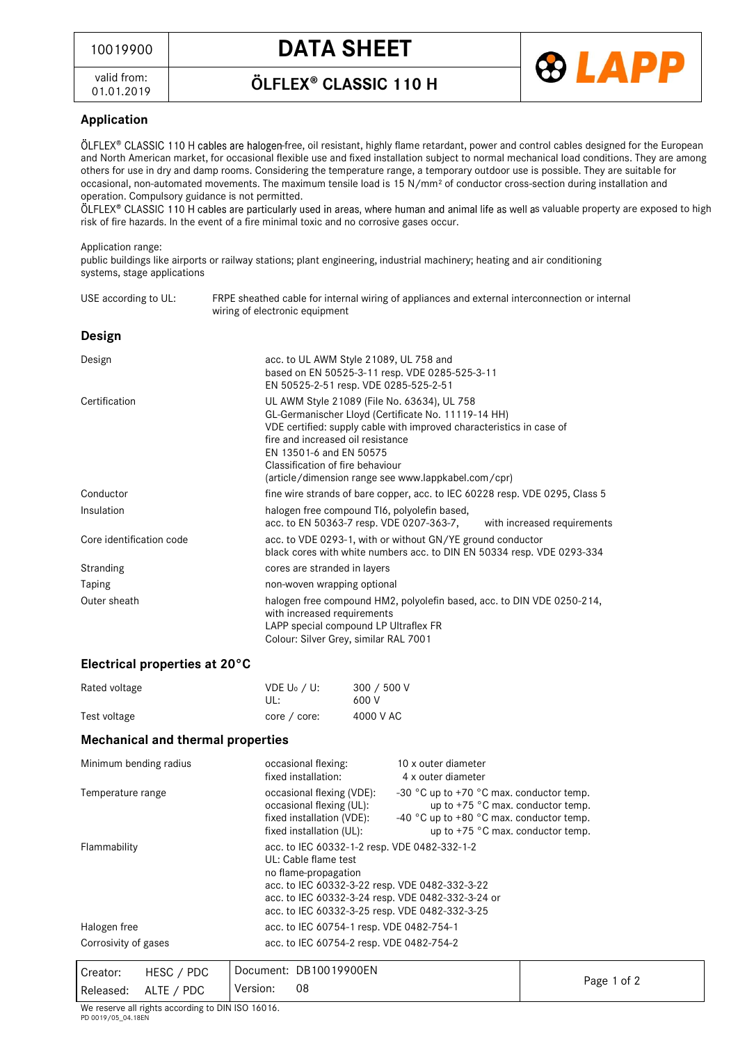## <sup>10019900</sup> **DATA SHEET**

valid from: 01.01.2019 ÖLFLEX<sup>®</sup> CLASSIC 110 H



### **Application**

ÖLFLEX® CLASSIC 110 H cables are halogen-free, oil resistant, highly flame retardant, power and control cables designed for the European and North American market, for occasional flexible use and fixed installation subject to normal mechanical load conditions. They are among others for use in dry and damp rooms. Considering the temperature range, a temporary outdoor use is possible. They are suitable for occasional, non-automated movements. The maximum tensile load is 15 N/mm² of conductor cross-section during installation and operation. Compulsory guidance is not permitted.

ÖLFLEX® CLASSIC 110 H cables are particularly used in areas, where human and animal life as well as valuable property are exposed to high risk of fire hazards. In the event of a fire minimal toxic and no corrosive gases occur.

#### Application range:

public buildings like airports or railway stations; plant engineering, industrial machinery; heating and air conditioning systems, stage applications

| USE according to UL:          | FRPE sheathed cable for internal wiring of appliances and external interconnection or internal<br>wiring of electronic equipment                                                                                                                                                                                                      |  |  |
|-------------------------------|---------------------------------------------------------------------------------------------------------------------------------------------------------------------------------------------------------------------------------------------------------------------------------------------------------------------------------------|--|--|
| Design                        |                                                                                                                                                                                                                                                                                                                                       |  |  |
| Design                        | acc. to UL AWM Style 21089, UL 758 and<br>based on EN 50525-3-11 resp. VDE 0285-525-3-11<br>EN 50525-2-51 resp. VDE 0285-525-2-51                                                                                                                                                                                                     |  |  |
| Certification                 | UL AWM Style 21089 (File No. 63634), UL 758<br>GL-Germanischer Lloyd (Certificate No. 11119-14 HH)<br>VDE certified: supply cable with improved characteristics in case of<br>fire and increased oil resistance<br>EN 13501-6 and EN 50575<br>Classification of fire behaviour<br>(article/dimension range see www.lappkabel.com/cpr) |  |  |
| Conductor                     | fine wire strands of bare copper, acc. to IEC 60228 resp. VDE 0295, Class 5                                                                                                                                                                                                                                                           |  |  |
| Insulation                    | halogen free compound TI6, polyolefin based,<br>acc. to EN 50363-7 resp. VDE 0207-363-7, with increased requirements                                                                                                                                                                                                                  |  |  |
| Core identification code      | acc. to VDE 0293-1, with or without GN/YE ground conductor<br>black cores with white numbers acc. to DIN EN 50334 resp. VDE 0293-334                                                                                                                                                                                                  |  |  |
| Stranding                     | cores are stranded in layers                                                                                                                                                                                                                                                                                                          |  |  |
| Taping                        | non-woven wrapping optional                                                                                                                                                                                                                                                                                                           |  |  |
| Outer sheath                  | halogen free compound HM2, polyolefin based, acc. to DIN VDE 0250-214,<br>with increased requirements<br>LAPP special compound LP Ultraflex FR<br>Colour: Silver Grey, similar RAL 7001                                                                                                                                               |  |  |
| Electrical properties at 20°C |                                                                                                                                                                                                                                                                                                                                       |  |  |
| Rated voltage                 | VDE U <sub>0</sub> / U:<br>300 / 500 V<br>$\mathbf{H}$<br>KUU V                                                                                                                                                                                                                                                                       |  |  |

| <b>Mechanical and thermal properties</b> |                                 |                      |  |  |  |
|------------------------------------------|---------------------------------|----------------------|--|--|--|
| Test voltage                             | $core / core$ :                 | 4000 V AC            |  |  |  |
| Rated voltage                            | VDE U <sub>0</sub> / U:<br>UL : | 300 / 500 V<br>600 V |  |  |  |

| Minimum bending radius                                                    |  | occasional flexing:<br>fixed installation:                                                                                                                                                                                                                                                                                                                                                                                                                                                                                                                      | 10 x outer diameter<br>4 x outer diameter |                                          |                                          |
|---------------------------------------------------------------------------|--|-----------------------------------------------------------------------------------------------------------------------------------------------------------------------------------------------------------------------------------------------------------------------------------------------------------------------------------------------------------------------------------------------------------------------------------------------------------------------------------------------------------------------------------------------------------------|-------------------------------------------|------------------------------------------|------------------------------------------|
| Temperature range<br>Flammability<br>Halogen free<br>Corrosivity of gases |  | -30 °C up to +70 °C max. conductor temp.<br>occasional flexing (VDE):<br>occasional flexing (UL):<br>up to +75 °C max. conductor temp.<br>-40 $^{\circ}$ C up to +80 $^{\circ}$ C max. conductor temp.<br>fixed installation (VDE):<br>up to $+75$ °C max. conductor temp.<br>fixed installation (UL):<br>acc. to IEC 60332-1-2 resp. VDE 0482-332-1-2<br>UL: Cable flame test<br>no flame-propagation<br>acc. to IEC 60332-3-22 resp. VDE 0482-332-3-22<br>acc. to IEC 60332-3-24 resp. VDE 0482-332-3-24 or<br>acc. to IEC 60332-3-25 resp. VDE 0482-332-3-25 |                                           |                                          |                                          |
|                                                                           |  |                                                                                                                                                                                                                                                                                                                                                                                                                                                                                                                                                                 |                                           |                                          | acc. to IEC 60754-1 resp. VDE 0482-754-1 |
|                                                                           |  | acc. to IEC 60754-2 resp. VDE 0482-754-2                                                                                                                                                                                                                                                                                                                                                                                                                                                                                                                        |                                           |                                          |                                          |
|                                                                           |  | Creator:<br>Released:                                                                                                                                                                                                                                                                                                                                                                                                                                                                                                                                           | HESC / PDC<br>ALTE / PDC                  | Document: DB10019900EN<br>Version:<br>08 |                                          |